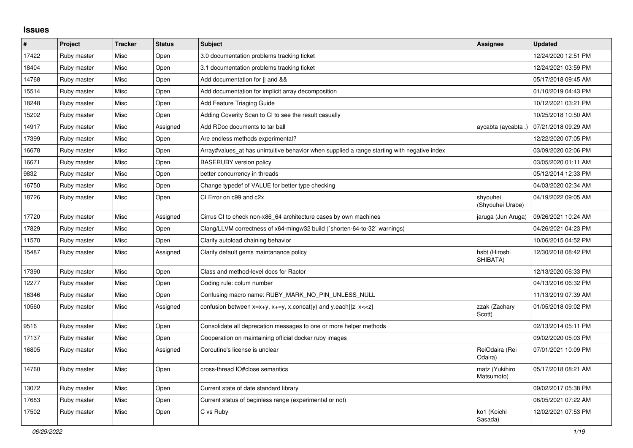## **Issues**

| $\sharp$ | Project     | <b>Tracker</b> | <b>Status</b> | <b>Subject</b>                                                                              | <b>Assignee</b>              | <b>Updated</b>      |
|----------|-------------|----------------|---------------|---------------------------------------------------------------------------------------------|------------------------------|---------------------|
| 17422    | Ruby master | Misc           | Open          | 3.0 documentation problems tracking ticket                                                  |                              | 12/24/2020 12:51 PM |
| 18404    | Ruby master | Misc           | Open          | 3.1 documentation problems tracking ticket                                                  |                              | 12/24/2021 03:59 PM |
| 14768    | Ruby master | Misc           | Open          | Add documentation for    and &&                                                             |                              | 05/17/2018 09:45 AM |
| 15514    | Ruby master | Misc           | Open          | Add documentation for implicit array decomposition                                          |                              | 01/10/2019 04:43 PM |
| 18248    | Ruby master | Misc           | Open          | Add Feature Triaging Guide                                                                  |                              | 10/12/2021 03:21 PM |
| 15202    | Ruby master | Misc           | Open          | Adding Coverity Scan to CI to see the result casually                                       |                              | 10/25/2018 10:50 AM |
| 14917    | Ruby master | Misc           | Assigned      | Add RDoc documents to tar ball                                                              | aycabta (aycabta .)          | 07/21/2018 09:29 AM |
| 17399    | Ruby master | Misc           | Open          | Are endless methods experimental?                                                           |                              | 12/22/2020 07:05 PM |
| 16678    | Ruby master | Misc           | Open          | Array#values_at has unintuitive behavior when supplied a range starting with negative index |                              | 03/09/2020 02:06 PM |
| 16671    | Ruby master | Misc           | Open          | <b>BASERUBY</b> version policy                                                              |                              | 03/05/2020 01:11 AM |
| 9832     | Ruby master | Misc           | Open          | better concurrency in threads                                                               |                              | 05/12/2014 12:33 PM |
| 16750    | Ruby master | Misc           | Open          | Change typedef of VALUE for better type checking                                            |                              | 04/03/2020 02:34 AM |
| 18726    | Ruby master | Misc           | Open          | CI Error on c99 and c2x                                                                     | shyouhei<br>(Shyouhei Urabe) | 04/19/2022 09:05 AM |
| 17720    | Ruby master | Misc           | Assigned      | Cirrus CI to check non-x86 64 architecture cases by own machines                            | jaruga (Jun Aruga)           | 09/26/2021 10:24 AM |
| 17829    | Ruby master | Misc           | Open          | Clang/LLVM correctness of x64-mingw32 build (`shorten-64-to-32` warnings)                   |                              | 04/26/2021 04:23 PM |
| 11570    | Ruby master | Misc           | Open          | Clarify autoload chaining behavior                                                          |                              | 10/06/2015 04:52 PM |
| 15487    | Ruby master | Misc           | Assigned      | Clarify default gems maintanance policy                                                     | hsbt (Hiroshi<br>SHIBATA)    | 12/30/2018 08:42 PM |
| 17390    | Ruby master | Misc           | Open          | Class and method-level docs for Ractor                                                      |                              | 12/13/2020 06:33 PM |
| 12277    | Ruby master | Misc           | Open          | Coding rule: colum number                                                                   |                              | 04/13/2016 06:32 PM |
| 16346    | Ruby master | Misc           | Open          | Confusing macro name: RUBY MARK NO PIN UNLESS NULL                                          |                              | 11/13/2019 07:39 AM |
| 10560    | Ruby master | Misc           | Assigned      | confusion between $x=x+y$ , $x+=y$ , x.concat(y) and y.each{ z  $x<}$                       | zzak (Zachary<br>Scott)      | 01/05/2018 09:02 PM |
| 9516     | Ruby master | Misc           | Open          | Consolidate all deprecation messages to one or more helper methods                          |                              | 02/13/2014 05:11 PM |
| 17137    | Ruby master | Misc           | Open          | Cooperation on maintaining official docker ruby images                                      |                              | 09/02/2020 05:03 PM |
| 16805    | Ruby master | Misc           | Assigned      | Coroutine's license is unclear                                                              | ReiOdaira (Rei<br>Odaira)    | 07/01/2021 10:09 PM |
| 14760    | Ruby master | Misc           | Open          | cross-thread IO#close semantics                                                             | matz (Yukihiro<br>Matsumoto) | 05/17/2018 08:21 AM |
| 13072    | Ruby master | Misc           | Open          | Current state of date standard library                                                      |                              | 09/02/2017 05:38 PM |
| 17683    | Ruby master | Misc           | Open          | Current status of beginless range (experimental or not)                                     |                              | 06/05/2021 07:22 AM |
| 17502    | Ruby master | Misc           | Open          | C vs Ruby                                                                                   | ko1 (Koichi<br>Sasada)       | 12/02/2021 07:53 PM |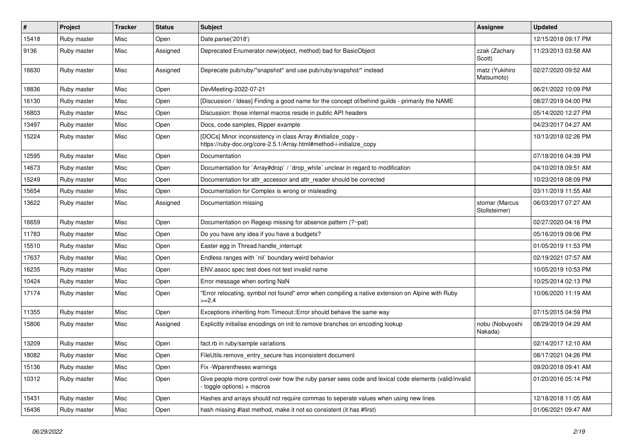| #     | Project     | <b>Tracker</b> | <b>Status</b> | <b>Subject</b>                                                                                                                      | <b>Assignee</b>                 | <b>Updated</b>      |
|-------|-------------|----------------|---------------|-------------------------------------------------------------------------------------------------------------------------------------|---------------------------------|---------------------|
| 15418 | Ruby master | Misc           | Open          | Date.parse('2018')                                                                                                                  |                                 | 12/15/2018 09:17 PM |
| 9136  | Ruby master | Misc           | Assigned      | Deprecated Enumerator.new(object, method) bad for BasicObject                                                                       | zzak (Zachary<br>Scott)         | 11/23/2013 03:58 AM |
| 16630 | Ruby master | Misc           | Assigned      | Deprecate pub/ruby/*snapshot* and use pub/ruby/snapshot/* instead                                                                   | matz (Yukihiro<br>Matsumoto)    | 02/27/2020 09:52 AM |
| 18836 | Ruby master | Misc           | Open          | DevMeeting-2022-07-21                                                                                                               |                                 | 06/21/2022 10:09 PM |
| 16130 | Ruby master | Misc           | Open          | [Discussion / Ideas] Finding a good name for the concept of/behind guilds - primarily the NAME                                      |                                 | 08/27/2019 04:00 PM |
| 16803 | Ruby master | Misc           | Open          | Discussion: those internal macros reside in public API headers                                                                      |                                 | 05/14/2020 12:27 PM |
| 13497 | Ruby master | Misc           | Open          | Docs, code samples, Ripper example                                                                                                  |                                 | 04/23/2017 04:27 AM |
| 15224 | Ruby master | Misc           | Open          | [DOCs] Minor inconsistency in class Array #initialize_copy -<br>https://ruby-doc.org/core-2.5.1/Array.html#method-i-initialize_copy |                                 | 10/13/2018 02:26 PM |
| 12595 | Ruby master | Misc           | Open          | Documentation                                                                                                                       |                                 | 07/18/2016 04:39 PM |
| 14673 | Ruby master | Misc           | Open          | Documentation for `Array#drop` / `drop_while` unclear in regard to modification                                                     |                                 | 04/10/2018 09:51 AM |
| 15249 | Ruby master | Misc           | Open          | Documentation for attr accessor and attr reader should be corrected                                                                 |                                 | 10/23/2018 08:09 PM |
| 15654 | Ruby master | Misc           | Open          | Documentation for Complex is wrong or misleading                                                                                    |                                 | 03/11/2019 11:55 AM |
| 13622 | Ruby master | Misc           | Assigned      | Documentation missing                                                                                                               | stomar (Marcus<br>Stollsteimer) | 06/03/2017 07:27 AM |
| 16659 | Ruby master | Misc           | Open          | Documentation on Regexp missing for absence pattern (?~pat)                                                                         |                                 | 02/27/2020 04:16 PM |
| 11783 | Ruby master | Misc           | Open          | Do you have any idea if you have a budgets?                                                                                         |                                 | 05/16/2019 09:06 PM |
| 15510 | Ruby master | Misc           | Open          | Easter egg in Thread.handle_interrupt                                                                                               |                                 | 01/05/2019 11:53 PM |
| 17637 | Ruby master | Misc           | Open          | Endless ranges with 'nil' boundary weird behavior                                                                                   |                                 | 02/19/2021 07:57 AM |
| 16235 | Ruby master | Misc           | Open          | ENV assoc spec test does not test invalid name                                                                                      |                                 | 10/05/2019 10:53 PM |
| 10424 | Ruby master | Misc           | Open          | Error message when sorting NaN                                                                                                      |                                 | 10/25/2014 02:13 PM |
| 17174 | Ruby master | Misc           | Open          | 'Error relocating, symbol not found" error when compiling a native extension on Alpine with Ruby<br>$>=2.4$                         |                                 | 10/06/2020 11:19 AM |
| 11355 | Ruby master | Misc           | Open          | Exceptions inheriting from Timeout:: Error should behave the same way                                                               |                                 | 07/15/2015 04:59 PM |
| 15806 | Ruby master | Misc           | Assigned      | Explicitly initialise encodings on init to remove branches on encoding lookup                                                       | nobu (Nobuyoshi<br>Nakada)      | 08/29/2019 04:29 AM |
| 13209 | Ruby master | Misc           | Open          | fact.rb in ruby/sample variations                                                                                                   |                                 | 02/14/2017 12:10 AM |
| 18082 | Ruby master | Misc           | Open          | FileUtils.remove_entry_secure has inconsistent document                                                                             |                                 | 08/17/2021 04:26 PM |
| 15136 | Ruby master | Misc           | Open          | Fix - Wparentheses warnings                                                                                                         |                                 | 09/20/2018 09:41 AM |
| 10312 | Ruby master | Misc           | Open          | Give people more control over how the ruby parser sees code and lexical code elements (valid/invalid<br>toggle options) + macros    |                                 | 01/20/2016 05:14 PM |
| 15431 | Ruby master | Misc           | Open          | Hashes and arrays should not require commas to seperate values when using new lines                                                 |                                 | 12/18/2018 11:05 AM |
| 16436 | Ruby master | Misc           | Open          | hash missing #last method, make it not so consistent (it has #first)                                                                |                                 | 01/06/2021 09:47 AM |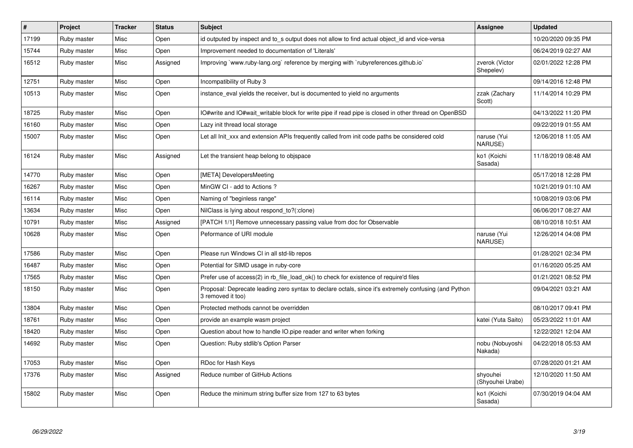| $\vert$ # | Project     | <b>Tracker</b> | <b>Status</b> | <b>Subject</b>                                                                                                             | Assignee                     | <b>Updated</b>      |
|-----------|-------------|----------------|---------------|----------------------------------------------------------------------------------------------------------------------------|------------------------------|---------------------|
| 17199     | Ruby master | Misc           | Open          | id outputed by inspect and to_s output does not allow to find actual object_id and vice-versa                              |                              | 10/20/2020 09:35 PM |
| 15744     | Ruby master | Misc           | Open          | Improvement needed to documentation of 'Literals'                                                                          |                              | 06/24/2019 02:27 AM |
| 16512     | Ruby master | Misc           | Assigned      | Improving `www.ruby-lang.org` reference by merging with `rubyreferences.github.io`                                         | zverok (Victor<br>Shepelev)  | 02/01/2022 12:28 PM |
| 12751     | Ruby master | Misc           | Open          | Incompatibility of Ruby 3                                                                                                  |                              | 09/14/2016 12:48 PM |
| 10513     | Ruby master | Misc           | Open          | instance_eval yields the receiver, but is documented to yield no arguments                                                 | zzak (Zachary<br>Scott)      | 11/14/2014 10:29 PM |
| 18725     | Ruby master | Misc           | Open          | O#write and IO#wait_writable block for write pipe if read pipe is closed in other thread on OpenBSD                        |                              | 04/13/2022 11:20 PM |
| 16160     | Ruby master | Misc           | Open          | Lazy init thread local storage                                                                                             |                              | 09/22/2019 01:55 AM |
| 15007     | Ruby master | Misc           | Open          | Let all Init xxx and extension APIs frequently called from init code paths be considered cold                              | naruse (Yui<br>NARUSE)       | 12/06/2018 11:05 AM |
| 16124     | Ruby master | Misc           | Assigned      | Let the transient heap belong to objspace                                                                                  | ko1 (Koichi<br>Sasada)       | 11/18/2019 08:48 AM |
| 14770     | Ruby master | Misc           | Open          | [META] DevelopersMeeting                                                                                                   |                              | 05/17/2018 12:28 PM |
| 16267     | Ruby master | Misc           | Open          | MinGW CI - add to Actions ?                                                                                                |                              | 10/21/2019 01:10 AM |
| 16114     | Ruby master | Misc           | Open          | Naming of "beginless range"                                                                                                |                              | 10/08/2019 03:06 PM |
| 13634     | Ruby master | Misc           | Open          | NilClass is lying about respond to?(:clone)                                                                                |                              | 06/06/2017 08:27 AM |
| 10791     | Ruby master | Misc           | Assigned      | [PATCH 1/1] Remove unnecessary passing value from doc for Observable                                                       |                              | 08/10/2018 10:51 AM |
| 10628     | Ruby master | Misc           | Open          | Peformance of URI module                                                                                                   | naruse (Yui<br>NARUSE)       | 12/26/2014 04:08 PM |
| 17586     | Ruby master | Misc           | Open          | Please run Windows CI in all std-lib repos                                                                                 |                              | 01/28/2021 02:34 PM |
| 16487     | Ruby master | Misc           | Open          | Potential for SIMD usage in ruby-core                                                                                      |                              | 01/16/2020 05:25 AM |
| 17565     | Ruby master | Misc           | Open          | Prefer use of access(2) in rb_file_load_ok() to check for existence of require'd files                                     |                              | 01/21/2021 08:52 PM |
| 18150     | Ruby master | Misc           | Open          | Proposal: Deprecate leading zero syntax to declare octals, since it's extremely confusing (and Python<br>3 removed it too) |                              | 09/04/2021 03:21 AM |
| 13804     | Ruby master | Misc           | Open          | Protected methods cannot be overridden                                                                                     |                              | 08/10/2017 09:41 PM |
| 18761     | Ruby master | Misc           | Open          | provide an example wasm project                                                                                            | katei (Yuta Saito)           | 05/23/2022 11:01 AM |
| 18420     | Ruby master | Misc           | Open          | Question about how to handle IO.pipe reader and writer when forking                                                        |                              | 12/22/2021 12:04 AM |
| 14692     | Ruby master | Misc           | Open          | Question: Ruby stdlib's Option Parser                                                                                      | nobu (Nobuyoshi<br>Nakada)   | 04/22/2018 05:53 AM |
| 17053     | Ruby master | Misc           | Open          | RDoc for Hash Keys                                                                                                         |                              | 07/28/2020 01:21 AM |
| 17376     | Ruby master | Misc           | Assigned      | Reduce number of GitHub Actions                                                                                            | shyouhei<br>(Shyouhei Urabe) | 12/10/2020 11:50 AM |
| 15802     | Ruby master | Misc           | Open          | Reduce the minimum string buffer size from 127 to 63 bytes                                                                 | ko1 (Koichi<br>Sasada)       | 07/30/2019 04:04 AM |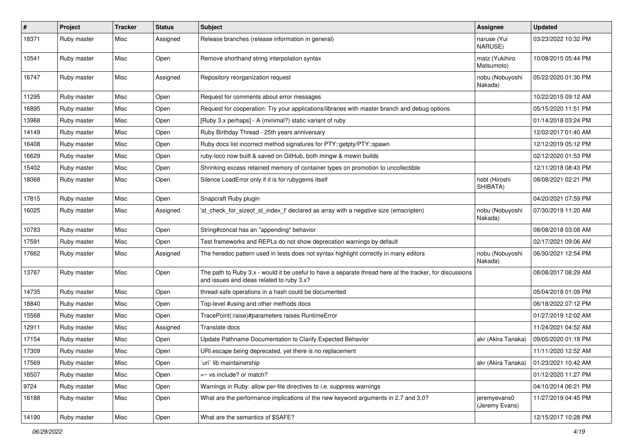| $\sharp$ | Project     | <b>Tracker</b> | <b>Status</b> | <b>Subject</b>                                                                                                                                        | Assignee                       | <b>Updated</b>      |
|----------|-------------|----------------|---------------|-------------------------------------------------------------------------------------------------------------------------------------------------------|--------------------------------|---------------------|
| 18371    | Ruby master | Misc           | Assigned      | Release branches (release information in general)                                                                                                     | naruse (Yui<br>NARUSE)         | 03/23/2022 10:32 PM |
| 10541    | Ruby master | Misc           | Open          | Remove shorthand string interpolation syntax                                                                                                          | matz (Yukihiro<br>Matsumoto)   | 10/08/2015 05:44 PM |
| 16747    | Ruby master | Misc           | Assigned      | Repository reorganization request                                                                                                                     | nobu (Nobuyoshi<br>Nakada)     | 05/22/2020 01:30 PM |
| 11295    | Ruby master | Misc           | Open          | Request for comments about error messages                                                                                                             |                                | 10/22/2015 09:12 AM |
| 16895    | Ruby master | Misc           | Open          | Request for cooperation: Try your applications/libraries with master branch and debug options                                                         |                                | 05/15/2020 11:51 PM |
| 13968    | Ruby master | Misc           | Open          | [Ruby 3.x perhaps] - A (minimal?) static variant of ruby                                                                                              |                                | 01/14/2018 03:24 PM |
| 14149    | Ruby master | Misc           | Open          | Ruby Birthday Thread - 25th years anniversary                                                                                                         |                                | 12/02/2017 01:40 AM |
| 16408    | Ruby master | Misc           | Open          | Ruby docs list incorrect method signatures for PTY::getpty/PTY::spawn                                                                                 |                                | 12/12/2019 05:12 PM |
| 16629    | Ruby master | Misc           | Open          | ruby-loco now built & saved on GitHub, both mingw & mswin builds                                                                                      |                                | 02/12/2020 01:53 PM |
| 15402    | Ruby master | Misc           | Open          | Shrinking excess retained memory of container types on promotion to uncollectible                                                                     |                                | 12/11/2018 08:43 PM |
| 18068    | Ruby master | Misc           | Open          | Silence LoadError only if it is for rubygems itself                                                                                                   | hsbt (Hiroshi<br>SHIBATA)      | 08/08/2021 02:21 PM |
| 17815    | Ruby master | Misc           | Open          | Snapcraft Ruby plugin                                                                                                                                 |                                | 04/20/2021 07:59 PM |
| 16025    | Ruby master | Misc           | Assigned      | 'st check for sizeof st index t' declared as array with a negative size (emscripten)                                                                  | nobu (Nobuyoshi<br>Nakada)     | 07/30/2019 11:20 AM |
| 10783    | Ruby master | Misc           | Open          | String#concat has an "appending" behavior                                                                                                             |                                | 08/08/2018 03:08 AM |
| 17591    | Ruby master | Misc           | Open          | Test frameworks and REPLs do not show deprecation warnings by default                                                                                 |                                | 02/17/2021 09:06 AM |
| 17662    | Ruby master | Misc           | Assigned      | The heredoc pattern used in tests does not syntax highlight correctly in many editors                                                                 | nobu (Nobuyoshi<br>Nakada)     | 06/30/2021 12:54 PM |
| 13787    | Ruby master | Misc           | Open          | The path to Ruby 3.x - would it be useful to have a separate thread here at the tracker, for discussions<br>and issues and ideas related to ruby 3.x? |                                | 08/08/2017 08:29 AM |
| 14735    | Ruby master | Misc           | Open          | thread-safe operations in a hash could be documented                                                                                                  |                                | 05/04/2018 01:09 PM |
| 18840    | Ruby master | Misc           | Open          | Top-level #using and other methods docs                                                                                                               |                                | 06/18/2022 07:12 PM |
| 15568    | Ruby master | Misc           | Open          | TracePoint(:raise)#parameters raises RuntimeError                                                                                                     |                                | 01/27/2019 12:02 AM |
| 12911    | Ruby master | Misc           | Assigned      | Translate docs                                                                                                                                        |                                | 11/24/2021 04:52 AM |
| 17154    | Ruby master | Misc           | Open          | Update Pathname Documentation to Clarify Expected Behavior                                                                                            | akr (Akira Tanaka)             | 09/05/2020 01:18 PM |
| 17309    | Ruby master | Misc           | Open          | URI.escape being deprecated, yet there is no replacement                                                                                              |                                | 11/11/2020 12:52 AM |
| 17569    | Ruby master | Misc           | Open          | uri lib maintainership                                                                                                                                | akr (Akira Tanaka)             | 01/23/2021 10:42 AM |
| 16507    | Ruby master | Misc           | Open          | $=\sim$ vs include? or match?                                                                                                                         |                                | 01/12/2020 11:27 PM |
| 9724     | Ruby master | Misc           | Open          | Warnings in Ruby: allow per-file directives to i.e. suppress warnings                                                                                 |                                | 04/10/2014 06:21 PM |
| 16188    | Ruby master | Misc           | Open          | What are the performance implications of the new keyword arguments in 2.7 and 3.0?                                                                    | jeremyevans0<br>(Jeremy Evans) | 11/27/2019 04:45 PM |
| 14190    | Ruby master | Misc           | Open          | What are the semantics of \$SAFE?                                                                                                                     |                                | 12/15/2017 10:28 PM |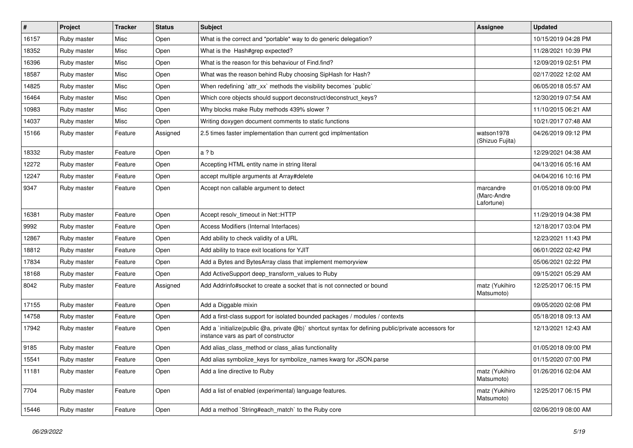| $\vert$ # | Project     | <b>Tracker</b> | <b>Status</b> | Subject                                                                                                                                     | <b>Assignee</b>                        | <b>Updated</b>      |
|-----------|-------------|----------------|---------------|---------------------------------------------------------------------------------------------------------------------------------------------|----------------------------------------|---------------------|
| 16157     | Ruby master | Misc           | Open          | What is the correct and *portable* way to do generic delegation?                                                                            |                                        | 10/15/2019 04:28 PM |
| 18352     | Ruby master | Misc           | Open          | What is the Hash#grep expected?                                                                                                             |                                        | 11/28/2021 10:39 PM |
| 16396     | Ruby master | Misc           | Open          | What is the reason for this behaviour of Find.find?                                                                                         |                                        | 12/09/2019 02:51 PM |
| 18587     | Ruby master | Misc           | Open          | What was the reason behind Ruby choosing SipHash for Hash?                                                                                  |                                        | 02/17/2022 12:02 AM |
| 14825     | Ruby master | Misc           | Open          | When redefining 'attr_xx' methods the visibility becomes 'public'                                                                           |                                        | 06/05/2018 05:57 AM |
| 16464     | Ruby master | Misc           | Open          | Which core objects should support deconstruct/deconstruct_keys?                                                                             |                                        | 12/30/2019 07:54 AM |
| 10983     | Ruby master | Misc           | Open          | Why blocks make Ruby methods 439% slower?                                                                                                   |                                        | 11/10/2015 06:21 AM |
| 14037     | Ruby master | Misc           | Open          | Writing doxygen document comments to static functions                                                                                       |                                        | 10/21/2017 07:48 AM |
| 15166     | Ruby master | Feature        | Assigned      | 2.5 times faster implementation than current gcd implmentation                                                                              | watson1978<br>(Shizuo Fujita)          | 04/26/2019 09:12 PM |
| 18332     | Ruby master | Feature        | Open          | a ? b                                                                                                                                       |                                        | 12/29/2021 04:38 AM |
| 12272     | Ruby master | Feature        | Open          | Accepting HTML entity name in string literal                                                                                                |                                        | 04/13/2016 05:16 AM |
| 12247     | Ruby master | Feature        | Open          | accept multiple arguments at Array#delete                                                                                                   |                                        | 04/04/2016 10:16 PM |
| 9347      | Ruby master | Feature        | Open          | Accept non callable argument to detect                                                                                                      | marcandre<br>(Marc-Andre<br>Lafortune) | 01/05/2018 09:00 PM |
| 16381     | Ruby master | Feature        | Open          | Accept resolv_timeout in Net::HTTP                                                                                                          |                                        | 11/29/2019 04:38 PM |
| 9992      | Ruby master | Feature        | Open          | Access Modifiers (Internal Interfaces)                                                                                                      |                                        | 12/18/2017 03:04 PM |
| 12867     | Ruby master | Feature        | Open          | Add ability to check validity of a URL                                                                                                      |                                        | 12/23/2021 11:43 PM |
| 18812     | Ruby master | Feature        | Open          | Add ability to trace exit locations for YJIT                                                                                                |                                        | 06/01/2022 02:42 PM |
| 17834     | Ruby master | Feature        | Open          | Add a Bytes and BytesArray class that implement memoryview                                                                                  |                                        | 05/06/2021 02:22 PM |
| 18168     | Ruby master | Feature        | Open          | Add ActiveSupport deep_transform_values to Ruby                                                                                             |                                        | 09/15/2021 05:29 AM |
| 8042      | Ruby master | Feature        | Assigned      | Add Addrinfo#socket to create a socket that is not connected or bound                                                                       | matz (Yukihiro<br>Matsumoto)           | 12/25/2017 06:15 PM |
| 17155     | Ruby master | Feature        | Open          | Add a Diggable mixin                                                                                                                        |                                        | 09/05/2020 02:08 PM |
| 14758     | Ruby master | Feature        | Open          | Add a first-class support for isolated bounded packages / modules / contexts                                                                |                                        | 05/18/2018 09:13 AM |
| 17942     | Ruby master | Feature        | Open          | Add a `initialize(public @a, private @b)` shortcut syntax for defining public/private accessors for<br>instance vars as part of constructor |                                        | 12/13/2021 12:43 AM |
| 9185      | Ruby master | Feature        | Open          | Add alias_class_method or class_alias functionality                                                                                         |                                        | 01/05/2018 09:00 PM |
| 15541     | Ruby master | Feature        | Open          | Add alias symbolize_keys for symbolize_names kwarg for JSON.parse                                                                           |                                        | 01/15/2020 07:00 PM |
| 11181     | Ruby master | Feature        | Open          | Add a line directive to Ruby                                                                                                                | matz (Yukihiro<br>Matsumoto)           | 01/26/2016 02:04 AM |
| 7704      | Ruby master | Feature        | Open          | Add a list of enabled (experimental) language features.                                                                                     | matz (Yukihiro<br>Matsumoto)           | 12/25/2017 06:15 PM |
| 15446     | Ruby master | Feature        | Open          | Add a method `String#each_match` to the Ruby core                                                                                           |                                        | 02/06/2019 08:00 AM |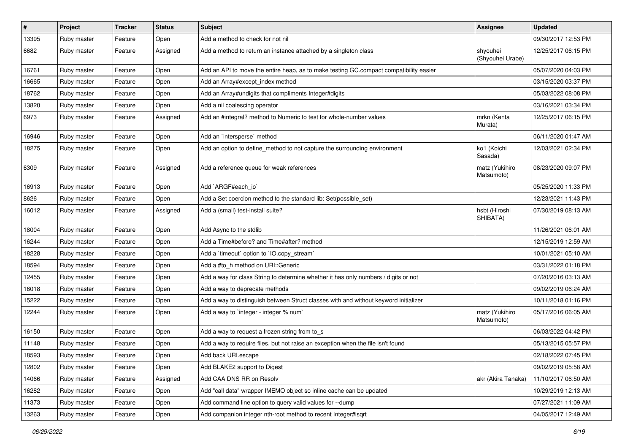| $\vert$ # | Project     | <b>Tracker</b> | <b>Status</b> | <b>Subject</b>                                                                         | <b>Assignee</b>              | <b>Updated</b>      |
|-----------|-------------|----------------|---------------|----------------------------------------------------------------------------------------|------------------------------|---------------------|
| 13395     | Ruby master | Feature        | Open          | Add a method to check for not nil                                                      |                              | 09/30/2017 12:53 PM |
| 6682      | Ruby master | Feature        | Assigned      | Add a method to return an instance attached by a singleton class                       | shyouhei<br>(Shyouhei Urabe) | 12/25/2017 06:15 PM |
| 16761     | Ruby master | Feature        | Open          | Add an API to move the entire heap, as to make testing GC.compact compatibility easier |                              | 05/07/2020 04:03 PM |
| 16665     | Ruby master | Feature        | Open          | Add an Array#except_index method                                                       |                              | 03/15/2020 03:37 PM |
| 18762     | Ruby master | Feature        | Open          | Add an Array#undigits that compliments Integer#digits                                  |                              | 05/03/2022 08:08 PM |
| 13820     | Ruby master | Feature        | Open          | Add a nil coalescing operator                                                          |                              | 03/16/2021 03:34 PM |
| 6973      | Ruby master | Feature        | Assigned      | Add an #integral? method to Numeric to test for whole-number values                    | mrkn (Kenta<br>Murata)       | 12/25/2017 06:15 PM |
| 16946     | Ruby master | Feature        | Open          | Add an `intersperse` method                                                            |                              | 06/11/2020 01:47 AM |
| 18275     | Ruby master | Feature        | Open          | Add an option to define_method to not capture the surrounding environment              | ko1 (Koichi<br>Sasada)       | 12/03/2021 02:34 PM |
| 6309      | Ruby master | Feature        | Assigned      | Add a reference queue for weak references                                              | matz (Yukihiro<br>Matsumoto) | 08/23/2020 09:07 PM |
| 16913     | Ruby master | Feature        | Open          | Add `ARGF#each_io`                                                                     |                              | 05/25/2020 11:33 PM |
| 8626      | Ruby master | Feature        | Open          | Add a Set coercion method to the standard lib: Set (possible set)                      |                              | 12/23/2021 11:43 PM |
| 16012     | Ruby master | Feature        | Assigned      | Add a (small) test-install suite?                                                      | hsbt (Hiroshi<br>SHIBATA)    | 07/30/2019 08:13 AM |
| 18004     | Ruby master | Feature        | Open          | Add Async to the stdlib                                                                |                              | 11/26/2021 06:01 AM |
| 16244     | Ruby master | Feature        | Open          | Add a Time#before? and Time#after? method                                              |                              | 12/15/2019 12:59 AM |
| 18228     | Ruby master | Feature        | Open          | Add a 'timeout' option to 'IO.copy_stream'                                             |                              | 10/01/2021 05:10 AM |
| 18594     | Ruby master | Feature        | Open          | Add a #to_h method on URI::Generic                                                     |                              | 03/31/2022 01:18 PM |
| 12455     | Ruby master | Feature        | Open          | Add a way for class String to determine whether it has only numbers / digits or not    |                              | 07/20/2016 03:13 AM |
| 16018     | Ruby master | Feature        | Open          | Add a way to deprecate methods                                                         |                              | 09/02/2019 06:24 AM |
| 15222     | Ruby master | Feature        | Open          | Add a way to distinguish between Struct classes with and without keyword initializer   |                              | 10/11/2018 01:16 PM |
| 12244     | Ruby master | Feature        | Open          | Add a way to 'integer - integer % num'                                                 | matz (Yukihiro<br>Matsumoto) | 05/17/2016 06:05 AM |
| 16150     | Ruby master | Feature        | Open          | Add a way to request a frozen string from to_s                                         |                              | 06/03/2022 04:42 PM |
| 11148     | Ruby master | Feature        | Open          | Add a way to require files, but not raise an exception when the file isn't found       |                              | 05/13/2015 05:57 PM |
| 18593     | Ruby master | Feature        | Open          | Add back URI.escape                                                                    |                              | 02/18/2022 07:45 PM |
| 12802     | Ruby master | Feature        | Open          | Add BLAKE2 support to Digest                                                           |                              | 09/02/2019 05:58 AM |
| 14066     | Ruby master | Feature        | Assigned      | Add CAA DNS RR on Resolv                                                               | akr (Akira Tanaka)           | 11/10/2017 06:50 AM |
| 16282     | Ruby master | Feature        | Open          | Add "call data" wrapper IMEMO object so inline cache can be updated                    |                              | 10/29/2019 12:13 AM |
| 11373     | Ruby master | Feature        | Open          | Add command line option to query valid values for --dump                               |                              | 07/27/2021 11:09 AM |
| 13263     | Ruby master | Feature        | Open          | Add companion integer nth-root method to recent Integer#isqrt                          |                              | 04/05/2017 12:49 AM |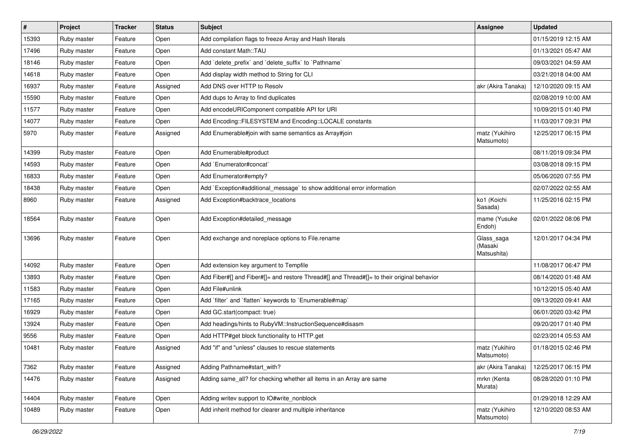| $\sharp$ | Project     | Tracker | <b>Status</b> | <b>Subject</b>                                                                             | Assignee                             | <b>Updated</b>      |
|----------|-------------|---------|---------------|--------------------------------------------------------------------------------------------|--------------------------------------|---------------------|
| 15393    | Ruby master | Feature | Open          | Add compilation flags to freeze Array and Hash literals                                    |                                      | 01/15/2019 12:15 AM |
| 17496    | Ruby master | Feature | Open          | Add constant Math::TAU                                                                     |                                      | 01/13/2021 05:47 AM |
| 18146    | Ruby master | Feature | Open          | Add 'delete prefix' and 'delete suffix' to 'Pathname'                                      |                                      | 09/03/2021 04:59 AM |
| 14618    | Ruby master | Feature | Open          | Add display width method to String for CLI                                                 |                                      | 03/21/2018 04:00 AM |
| 16937    | Ruby master | Feature | Assigned      | Add DNS over HTTP to Resolv                                                                | akr (Akira Tanaka)                   | 12/10/2020 09:15 AM |
| 15590    | Ruby master | Feature | Open          | Add dups to Array to find duplicates                                                       |                                      | 02/08/2019 10:00 AM |
| 11577    | Ruby master | Feature | Open          | Add encodeURIComponent compatible API for URI                                              |                                      | 10/09/2015 01:40 PM |
| 14077    | Ruby master | Feature | Open          | Add Encoding::FILESYSTEM and Encoding::LOCALE constants                                    |                                      | 11/03/2017 09:31 PM |
| 5970     | Ruby master | Feature | Assigned      | Add Enumerable#join with same semantics as Array#join                                      | matz (Yukihiro<br>Matsumoto)         | 12/25/2017 06:15 PM |
| 14399    | Ruby master | Feature | Open          | Add Enumerable#product                                                                     |                                      | 08/11/2019 09:34 PM |
| 14593    | Ruby master | Feature | Open          | Add `Enumerator#concat`                                                                    |                                      | 03/08/2018 09:15 PM |
| 16833    | Ruby master | Feature | Open          | Add Enumerator#empty?                                                                      |                                      | 05/06/2020 07:55 PM |
| 18438    | Ruby master | Feature | Open          | Add `Exception#additional_message` to show additional error information                    |                                      | 02/07/2022 02:55 AM |
| 8960     | Ruby master | Feature | Assigned      | Add Exception#backtrace locations                                                          | ko1 (Koichi<br>Sasada)               | 11/25/2016 02:15 PM |
| 18564    | Ruby master | Feature | Open          | Add Exception#detailed_message                                                             | mame (Yusuke<br>Endoh)               | 02/01/2022 08:06 PM |
| 13696    | Ruby master | Feature | Open          | Add exchange and noreplace options to File.rename                                          | Glass_saga<br>(Masaki<br>Matsushita) | 12/01/2017 04:34 PM |
| 14092    | Ruby master | Feature | Open          | Add extension key argument to Tempfile                                                     |                                      | 11/08/2017 06:47 PM |
| 13893    | Ruby master | Feature | Open          | Add Fiber#[] and Fiber#[]= and restore Thread#[] and Thread#[]= to their original behavior |                                      | 08/14/2020 01:48 AM |
| 11583    | Ruby master | Feature | Open          | Add File#unlink                                                                            |                                      | 10/12/2015 05:40 AM |
| 17165    | Ruby master | Feature | Open          | Add 'filter' and 'flatten' keywords to 'Enumerable#map'                                    |                                      | 09/13/2020 09:41 AM |
| 16929    | Ruby master | Feature | Open          | Add GC.start(compact: true)                                                                |                                      | 06/01/2020 03:42 PM |
| 13924    | Ruby master | Feature | Open          | Add headings/hints to RubyVM::InstructionSequence#disasm                                   |                                      | 09/20/2017 01:40 PM |
| 9556     | Ruby master | Feature | Open          | Add HTTP#get block functionality to HTTP.get                                               |                                      | 02/23/2014 05:53 AM |
| 10481    | Ruby master | Feature | Assigned      | Add "if" and "unless" clauses to rescue statements                                         | matz (Yukihiro<br>Matsumoto)         | 01/18/2015 02:46 PM |
| 7362     | Ruby master | Feature | Assigned      | Adding Pathname#start_with?                                                                | akr (Akira Tanaka)                   | 12/25/2017 06:15 PM |
| 14476    | Ruby master | Feature | Assigned      | Adding same_all? for checking whether all items in an Array are same                       | mrkn (Kenta<br>Murata)               | 08/28/2020 01:10 PM |
| 14404    | Ruby master | Feature | Open          | Adding writev support to IO#write nonblock                                                 |                                      | 01/29/2018 12:29 AM |
| 10489    | Ruby master | Feature | Open          | Add inherit method for clearer and multiple inheritance                                    | matz (Yukihiro<br>Matsumoto)         | 12/10/2020 08:53 AM |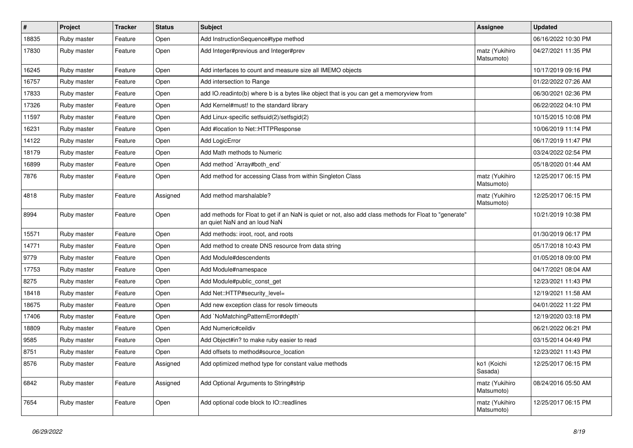| $\sharp$ | Project     | <b>Tracker</b> | <b>Status</b> | <b>Subject</b>                                                                                                                         | <b>Assignee</b>              | <b>Updated</b>      |
|----------|-------------|----------------|---------------|----------------------------------------------------------------------------------------------------------------------------------------|------------------------------|---------------------|
| 18835    | Ruby master | Feature        | Open          | Add InstructionSequence#type method                                                                                                    |                              | 06/16/2022 10:30 PM |
| 17830    | Ruby master | Feature        | Open          | Add Integer#previous and Integer#prev                                                                                                  | matz (Yukihiro<br>Matsumoto) | 04/27/2021 11:35 PM |
| 16245    | Ruby master | Feature        | Open          | Add interfaces to count and measure size all IMEMO objects                                                                             |                              | 10/17/2019 09:16 PM |
| 16757    | Ruby master | Feature        | Open          | Add intersection to Range                                                                                                              |                              | 01/22/2022 07:26 AM |
| 17833    | Ruby master | Feature        | Open          | add IO.readinto(b) where b is a bytes like object that is you can get a memoryview from                                                |                              | 06/30/2021 02:36 PM |
| 17326    | Ruby master | Feature        | Open          | Add Kernel#must! to the standard library                                                                                               |                              | 06/22/2022 04:10 PM |
| 11597    | Ruby master | Feature        | Open          | Add Linux-specific setfsuid(2)/setfsgid(2)                                                                                             |                              | 10/15/2015 10:08 PM |
| 16231    | Ruby master | Feature        | Open          | Add #location to Net::HTTPResponse                                                                                                     |                              | 10/06/2019 11:14 PM |
| 14122    | Ruby master | Feature        | Open          | Add LogicError                                                                                                                         |                              | 06/17/2019 11:47 PM |
| 18179    | Ruby master | Feature        | Open          | Add Math methods to Numeric                                                                                                            |                              | 03/24/2022 02:54 PM |
| 16899    | Ruby master | Feature        | Open          | Add method `Array#both end`                                                                                                            |                              | 05/18/2020 01:44 AM |
| 7876     | Ruby master | Feature        | Open          | Add method for accessing Class from within Singleton Class                                                                             | matz (Yukihiro<br>Matsumoto) | 12/25/2017 06:15 PM |
| 4818     | Ruby master | Feature        | Assigned      | Add method marshalable?                                                                                                                | matz (Yukihiro<br>Matsumoto) | 12/25/2017 06:15 PM |
| 8994     | Ruby master | Feature        | Open          | add methods for Float to get if an NaN is quiet or not, also add class methods for Float to "generate"<br>an quiet NaN and an loud NaN |                              | 10/21/2019 10:38 PM |
| 15571    | Ruby master | Feature        | Open          | Add methods: iroot, root, and roots                                                                                                    |                              | 01/30/2019 06:17 PM |
| 14771    | Ruby master | Feature        | Open          | Add method to create DNS resource from data string                                                                                     |                              | 05/17/2018 10:43 PM |
| 9779     | Ruby master | Feature        | Open          | Add Module#descendents                                                                                                                 |                              | 01/05/2018 09:00 PM |
| 17753    | Ruby master | Feature        | Open          | Add Module#namespace                                                                                                                   |                              | 04/17/2021 08:04 AM |
| 8275     | Ruby master | Feature        | Open          | Add Module#public_const_get                                                                                                            |                              | 12/23/2021 11:43 PM |
| 18418    | Ruby master | Feature        | Open          | Add Net::HTTP#security_level=                                                                                                          |                              | 12/19/2021 11:58 AM |
| 18675    | Ruby master | Feature        | Open          | Add new exception class for resolv timeouts                                                                                            |                              | 04/01/2022 11:22 PM |
| 17406    | Ruby master | Feature        | Open          | Add `NoMatchingPatternError#depth`                                                                                                     |                              | 12/19/2020 03:18 PM |
| 18809    | Ruby master | Feature        | Open          | Add Numeric#ceildiv                                                                                                                    |                              | 06/21/2022 06:21 PM |
| 9585     | Ruby master | Feature        | Open          | Add Object#in? to make ruby easier to read                                                                                             |                              | 03/15/2014 04:49 PM |
| 8751     | Ruby master | Feature        | Open          | Add offsets to method#source location                                                                                                  |                              | 12/23/2021 11:43 PM |
| 8576     | Ruby master | Feature        | Assigned      | Add optimized method type for constant value methods                                                                                   | ko1 (Koichi<br>Sasada)       | 12/25/2017 06:15 PM |
| 6842     | Ruby master | Feature        | Assigned      | Add Optional Arguments to String#strip                                                                                                 | matz (Yukihiro<br>Matsumoto) | 08/24/2016 05:50 AM |
| 7654     | Ruby master | Feature        | Open          | Add optional code block to IO::readlines                                                                                               | matz (Yukihiro<br>Matsumoto) | 12/25/2017 06:15 PM |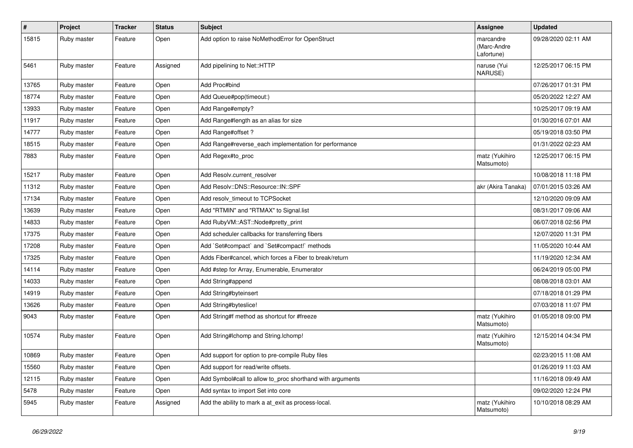| $\sharp$ | Project     | <b>Tracker</b> | <b>Status</b> | <b>Subject</b>                                            | Assignee                               | <b>Updated</b>      |
|----------|-------------|----------------|---------------|-----------------------------------------------------------|----------------------------------------|---------------------|
| 15815    | Ruby master | Feature        | Open          | Add option to raise NoMethodError for OpenStruct          | marcandre<br>(Marc-Andre<br>Lafortune) | 09/28/2020 02:11 AM |
| 5461     | Ruby master | Feature        | Assigned      | Add pipelining to Net::HTTP                               | naruse (Yui<br>NARUSE)                 | 12/25/2017 06:15 PM |
| 13765    | Ruby master | Feature        | Open          | Add Proc#bind                                             |                                        | 07/26/2017 01:31 PM |
| 18774    | Ruby master | Feature        | Open          | Add Queue#pop(timeout:)                                   |                                        | 05/20/2022 12:27 AM |
| 13933    | Ruby master | Feature        | Open          | Add Range#empty?                                          |                                        | 10/25/2017 09:19 AM |
| 11917    | Ruby master | Feature        | Open          | Add Range#length as an alias for size                     |                                        | 01/30/2016 07:01 AM |
| 14777    | Ruby master | Feature        | Open          | Add Range#offset?                                         |                                        | 05/19/2018 03:50 PM |
| 18515    | Ruby master | Feature        | Open          | Add Range#reverse_each implementation for performance     |                                        | 01/31/2022 02:23 AM |
| 7883     | Ruby master | Feature        | Open          | Add Regex#to_proc                                         | matz (Yukihiro<br>Matsumoto)           | 12/25/2017 06:15 PM |
| 15217    | Ruby master | Feature        | Open          | Add Resolv.current_resolver                               |                                        | 10/08/2018 11:18 PM |
| 11312    | Ruby master | Feature        | Open          | Add Resolv::DNS::Resource::IN::SPF                        | akr (Akira Tanaka)                     | 07/01/2015 03:26 AM |
| 17134    | Ruby master | Feature        | Open          | Add resolv_timeout to TCPSocket                           |                                        | 12/10/2020 09:09 AM |
| 13639    | Ruby master | Feature        | Open          | Add "RTMIN" and "RTMAX" to Signal.list                    |                                        | 08/31/2017 09:06 AM |
| 14833    | Ruby master | Feature        | Open          | Add RubyVM::AST::Node#pretty_print                        |                                        | 06/07/2018 02:56 PM |
| 17375    | Ruby master | Feature        | Open          | Add scheduler callbacks for transferring fibers           |                                        | 12/07/2020 11:31 PM |
| 17208    | Ruby master | Feature        | Open          | Add `Set#compact` and `Set#compact!` methods              |                                        | 11/05/2020 10:44 AM |
| 17325    | Ruby master | Feature        | Open          | Adds Fiber#cancel, which forces a Fiber to break/return   |                                        | 11/19/2020 12:34 AM |
| 14114    | Ruby master | Feature        | Open          | Add #step for Array, Enumerable, Enumerator               |                                        | 06/24/2019 05:00 PM |
| 14033    | Ruby master | Feature        | Open          | Add String#append                                         |                                        | 08/08/2018 03:01 AM |
| 14919    | Ruby master | Feature        | Open          | Add String#byteinsert                                     |                                        | 07/18/2018 01:29 PM |
| 13626    | Ruby master | Feature        | Open          | Add String#byteslice!                                     |                                        | 07/03/2018 11:07 PM |
| 9043     | Ruby master | Feature        | Open          | Add String#f method as shortcut for #freeze               | matz (Yukihiro<br>Matsumoto)           | 01/05/2018 09:00 PM |
| 10574    | Ruby master | Feature        | Open          | Add String#Ichomp and String.Ichomp!                      | matz (Yukihiro<br>Matsumoto)           | 12/15/2014 04:34 PM |
| 10869    | Ruby master | Feature        | Open          | Add support for option to pre-compile Ruby files          |                                        | 02/23/2015 11:08 AM |
| 15560    | Ruby master | Feature        | Open          | Add support for read/write offsets.                       |                                        | 01/26/2019 11:03 AM |
| 12115    | Ruby master | Feature        | Open          | Add Symbol#call to allow to_proc shorthand with arguments |                                        | 11/16/2018 09:49 AM |
| 5478     | Ruby master | Feature        | Open          | Add syntax to import Set into core                        |                                        | 09/02/2020 12:24 PM |
| 5945     | Ruby master | Feature        | Assigned      | Add the ability to mark a at_exit as process-local.       | matz (Yukihiro<br>Matsumoto)           | 10/10/2018 08:29 AM |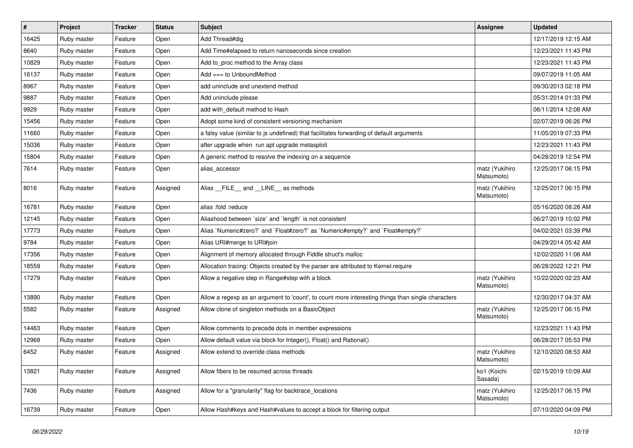| $\vert$ # | Project     | <b>Tracker</b> | <b>Status</b> | Subject                                                                                           | <b>Assignee</b>              | <b>Updated</b>      |
|-----------|-------------|----------------|---------------|---------------------------------------------------------------------------------------------------|------------------------------|---------------------|
| 16425     | Ruby master | Feature        | Open          | Add Thread#dig                                                                                    |                              | 12/17/2019 12:15 AM |
| 8640      | Ruby master | Feature        | Open          | Add Time#elapsed to return nanoseconds since creation                                             |                              | 12/23/2021 11:43 PM |
| 10829     | Ruby master | Feature        | Open          | Add to proc method to the Array class                                                             |                              | 12/23/2021 11:43 PM |
| 16137     | Ruby master | Feature        | Open          | Add $==$ to UnboundMethod                                                                         |                              | 09/07/2019 11:05 AM |
| 8967      | Ruby master | Feature        | Open          | add uninclude and unextend method                                                                 |                              | 09/30/2013 02:18 PM |
| 9887      | Ruby master | Feature        | Open          | Add uninclude please                                                                              |                              | 05/31/2014 01:33 PM |
| 9929      | Ruby master | Feature        | Open          | add with_default method to Hash                                                                   |                              | 06/11/2014 12:08 AM |
| 15456     | Ruby master | Feature        | Open          | Adopt some kind of consistent versioning mechanism                                                |                              | 02/07/2019 06:26 PM |
| 11660     | Ruby master | Feature        | Open          | a falsy value (similar to js undefined) that facilitates forwarding of default arguments          |                              | 11/05/2019 07:33 PM |
| 15036     | Ruby master | Feature        | Open          | after upgrade when run apt upgrade metasploit                                                     |                              | 12/23/2021 11:43 PM |
| 15804     | Ruby master | Feature        | Open          | A generic method to resolve the indexing on a sequence                                            |                              | 04/28/2019 12:54 PM |
| 7614      | Ruby master | Feature        | Open          | alias_accessor                                                                                    | matz (Yukihiro<br>Matsumoto) | 12/25/2017 06:15 PM |
| 8016      | Ruby master | Feature        | Assigned      | Alias FILE and LINE as methods                                                                    | matz (Yukihiro<br>Matsumoto) | 12/25/2017 06:15 PM |
| 16781     | Ruby master | Feature        | Open          | alias :fold :reduce                                                                               |                              | 05/16/2020 08:28 AM |
| 12145     | Ruby master | Feature        | Open          | Aliashood between 'size' and 'length' is not consistent                                           |                              | 06/27/2019 10:02 PM |
| 17773     | Ruby master | Feature        | Open          | Alias `Numeric#zero?` and `Float#zero?` as `Numeric#empty?` and `Float#empty?`                    |                              | 04/02/2021 03:39 PM |
| 9784      | Ruby master | Feature        | Open          | Alias URI#merge to URI#join                                                                       |                              | 04/29/2014 05:42 AM |
| 17356     | Ruby master | Feature        | Open          | Alignment of memory allocated through Fiddle struct's malloc                                      |                              | 12/02/2020 11:06 AM |
| 18559     | Ruby master | Feature        | Open          | Allocation tracing: Objects created by the parser are attributed to Kernel.require                |                              | 06/28/2022 12:21 PM |
| 17279     | Ruby master | Feature        | Open          | Allow a negative step in Range#step with a block                                                  | matz (Yukihiro<br>Matsumoto) | 10/22/2020 02:23 AM |
| 13890     | Ruby master | Feature        | Open          | Allow a regexp as an argument to 'count', to count more interesting things than single characters |                              | 12/30/2017 04:37 AM |
| 5582      | Ruby master | Feature        | Assigned      | Allow clone of singleton methods on a BasicObject                                                 | matz (Yukihiro<br>Matsumoto) | 12/25/2017 06:15 PM |
| 14463     | Ruby master | Feature        | Open          | Allow comments to precede dots in member expressions                                              |                              | 12/23/2021 11:43 PM |
| 12968     | Ruby master | Feature        | Open          | Allow default value via block for Integer(), Float() and Rational()                               |                              | 06/28/2017 05:53 PM |
| 6452      | Ruby master | Feature        | Assigned      | Allow extend to override class methods                                                            | matz (Yukihiro<br>Matsumoto) | 12/10/2020 08:53 AM |
| 13821     | Ruby master | Feature        | Assigned      | Allow fibers to be resumed across threads                                                         | ko1 (Koichi<br>Sasada)       | 02/15/2019 10:09 AM |
| 7436      | Ruby master | Feature        | Assigned      | Allow for a "granularity" flag for backtrace_locations                                            | matz (Yukihiro<br>Matsumoto) | 12/25/2017 06:15 PM |
| 16739     | Ruby master | Feature        | Open          | Allow Hash#keys and Hash#values to accept a block for filtering output                            |                              | 07/10/2020 04:09 PM |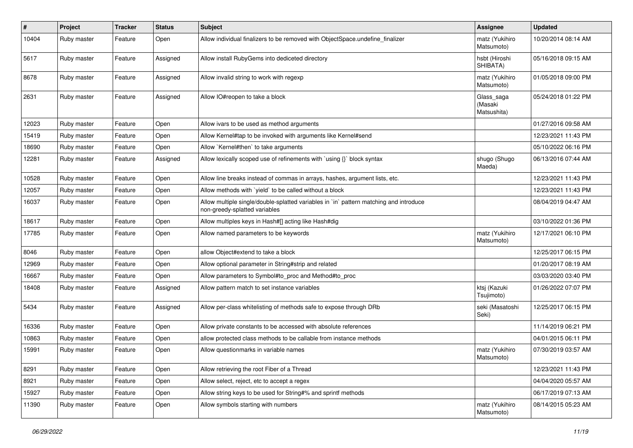| $\pmb{\#}$ | Project     | <b>Tracker</b> | <b>Status</b> | Subject                                                                                                                 | <b>Assignee</b>                      | <b>Updated</b>      |
|------------|-------------|----------------|---------------|-------------------------------------------------------------------------------------------------------------------------|--------------------------------------|---------------------|
| 10404      | Ruby master | Feature        | Open          | Allow individual finalizers to be removed with ObjectSpace.undefine_finalizer                                           | matz (Yukihiro<br>Matsumoto)         | 10/20/2014 08:14 AM |
| 5617       | Ruby master | Feature        | Assigned      | Allow install RubyGems into dediceted directory                                                                         | hsbt (Hiroshi<br>SHIBATA)            | 05/16/2018 09:15 AM |
| 8678       | Ruby master | Feature        | Assigned      | Allow invalid string to work with regexp                                                                                | matz (Yukihiro<br>Matsumoto)         | 01/05/2018 09:00 PM |
| 2631       | Ruby master | Feature        | Assigned      | Allow IO#reopen to take a block                                                                                         | Glass_saga<br>(Masaki<br>Matsushita) | 05/24/2018 01:22 PM |
| 12023      | Ruby master | Feature        | Open          | Allow ivars to be used as method arguments                                                                              |                                      | 01/27/2016 09:58 AM |
| 15419      | Ruby master | Feature        | Open          | Allow Kernel#tap to be invoked with arguments like Kernel#send                                                          |                                      | 12/23/2021 11:43 PM |
| 18690      | Ruby master | Feature        | Open          | Allow `Kernel#then` to take arguments                                                                                   |                                      | 05/10/2022 06:16 PM |
| 12281      | Ruby master | Feature        | Assigned      | Allow lexically scoped use of refinements with `using {}` block syntax                                                  | shugo (Shugo<br>Maeda)               | 06/13/2016 07:44 AM |
| 10528      | Ruby master | Feature        | Open          | Allow line breaks instead of commas in arrays, hashes, argument lists, etc.                                             |                                      | 12/23/2021 11:43 PM |
| 12057      | Ruby master | Feature        | Open          | Allow methods with 'yield' to be called without a block                                                                 |                                      | 12/23/2021 11:43 PM |
| 16037      | Ruby master | Feature        | Open          | Allow multiple single/double-splatted variables in `in` pattern matching and introduce<br>non-greedy-splatted variables |                                      | 08/04/2019 04:47 AM |
| 18617      | Ruby master | Feature        | Open          | Allow multiples keys in Hash#[] acting like Hash#dig                                                                    |                                      | 03/10/2022 01:36 PM |
| 17785      | Ruby master | Feature        | Open          | Allow named parameters to be keywords                                                                                   | matz (Yukihiro<br>Matsumoto)         | 12/17/2021 06:10 PM |
| 8046       | Ruby master | Feature        | Open          | allow Object#extend to take a block                                                                                     |                                      | 12/25/2017 06:15 PM |
| 12969      | Ruby master | Feature        | Open          | Allow optional parameter in String#strip and related                                                                    |                                      | 01/20/2017 08:19 AM |
| 16667      | Ruby master | Feature        | Open          | Allow parameters to Symbol#to_proc and Method#to_proc                                                                   |                                      | 03/03/2020 03:40 PM |
| 18408      | Ruby master | Feature        | Assigned      | Allow pattern match to set instance variables                                                                           | ktsj (Kazuki<br>Tsujimoto)           | 01/26/2022 07:07 PM |
| 5434       | Ruby master | Feature        | Assigned      | Allow per-class whitelisting of methods safe to expose through DRb                                                      | seki (Masatoshi<br>Seki)             | 12/25/2017 06:15 PM |
| 16336      | Ruby master | Feature        | Open          | Allow private constants to be accessed with absolute references                                                         |                                      | 11/14/2019 06:21 PM |
| 10863      | Ruby master | Feature        | Open          | allow protected class methods to be callable from instance methods                                                      |                                      | 04/01/2015 06:11 PM |
| 15991      | Ruby master | Feature        | Open          | Allow questionmarks in variable names                                                                                   | matz (Yukihiro<br>Matsumoto)         | 07/30/2019 03:57 AM |
| 8291       | Ruby master | Feature        | Open          | Allow retrieving the root Fiber of a Thread                                                                             |                                      | 12/23/2021 11:43 PM |
| 8921       | Ruby master | Feature        | Open          | Allow select, reject, etc to accept a regex                                                                             |                                      | 04/04/2020 05:57 AM |
| 15927      | Ruby master | Feature        | Open          | Allow string keys to be used for String#% and sprintf methods                                                           |                                      | 06/17/2019 07:13 AM |
| 11390      | Ruby master | Feature        | Open          | Allow symbols starting with numbers                                                                                     | matz (Yukihiro<br>Matsumoto)         | 08/14/2015 05:23 AM |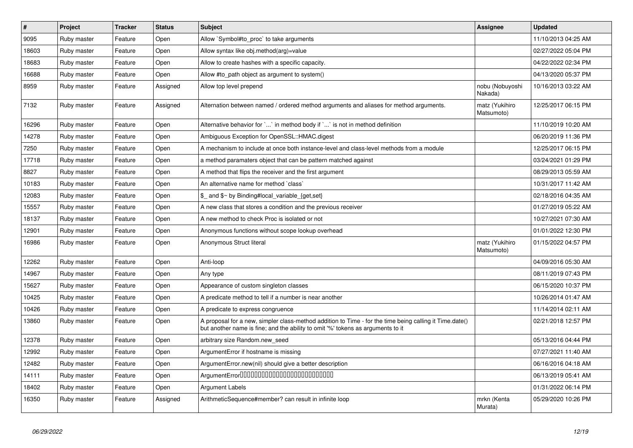| $\vert$ # | <b>Project</b> | <b>Tracker</b> | <b>Status</b> | <b>Subject</b>                                                                                                                                                                             | Assignee                     | <b>Updated</b>      |
|-----------|----------------|----------------|---------------|--------------------------------------------------------------------------------------------------------------------------------------------------------------------------------------------|------------------------------|---------------------|
| 9095      | Ruby master    | Feature        | Open          | Allow `Symbol#to proc` to take arguments                                                                                                                                                   |                              | 11/10/2013 04:25 AM |
| 18603     | Ruby master    | Feature        | Open          | Allow syntax like obj.method(arg)=value                                                                                                                                                    |                              | 02/27/2022 05:04 PM |
| 18683     | Ruby master    | Feature        | Open          | Allow to create hashes with a specific capacity.                                                                                                                                           |                              | 04/22/2022 02:34 PM |
| 16688     | Ruby master    | Feature        | Open          | Allow #to path object as argument to system()                                                                                                                                              |                              | 04/13/2020 05:37 PM |
| 8959      | Ruby master    | Feature        | Assigned      | Allow top level prepend                                                                                                                                                                    | nobu (Nobuyoshi<br>Nakada)   | 10/16/2013 03:22 AM |
| 7132      | Ruby master    | Feature        | Assigned      | Alternation between named / ordered method arguments and aliases for method arguments.                                                                                                     | matz (Yukihiro<br>Matsumoto) | 12/25/2017 06:15 PM |
| 16296     | Ruby master    | Feature        | Open          | Alternative behavior for ` ` in method body if ` ` is not in method definition                                                                                                             |                              | 11/10/2019 10:20 AM |
| 14278     | Ruby master    | Feature        | Open          | Ambiguous Exception for OpenSSL::HMAC.digest                                                                                                                                               |                              | 06/20/2019 11:36 PM |
| 7250      | Ruby master    | Feature        | Open          | A mechanism to include at once both instance-level and class-level methods from a module                                                                                                   |                              | 12/25/2017 06:15 PM |
| 17718     | Ruby master    | Feature        | Open          | a method paramaters object that can be pattern matched against                                                                                                                             |                              | 03/24/2021 01:29 PM |
| 8827      | Ruby master    | Feature        | Open          | A method that flips the receiver and the first argument                                                                                                                                    |                              | 08/29/2013 05:59 AM |
| 10183     | Ruby master    | Feature        | Open          | An alternative name for method `class`                                                                                                                                                     |                              | 10/31/2017 11:42 AM |
| 12083     | Ruby master    | Feature        | Open          | $$$ and $$^{\sim}$ by Binding#local variable {get,set}                                                                                                                                     |                              | 02/18/2016 04:35 AM |
| 15557     | Ruby master    | Feature        | Open          | A new class that stores a condition and the previous receiver                                                                                                                              |                              | 01/27/2019 05:22 AM |
| 18137     | Ruby master    | Feature        | Open          | A new method to check Proc is isolated or not                                                                                                                                              |                              | 10/27/2021 07:30 AM |
| 12901     | Ruby master    | Feature        | Open          | Anonymous functions without scope lookup overhead                                                                                                                                          |                              | 01/01/2022 12:30 PM |
| 16986     | Ruby master    | Feature        | Open          | Anonymous Struct literal                                                                                                                                                                   | matz (Yukihiro<br>Matsumoto) | 01/15/2022 04:57 PM |
| 12262     | Ruby master    | Feature        | Open          | Anti-loop                                                                                                                                                                                  |                              | 04/09/2016 05:30 AM |
| 14967     | Ruby master    | Feature        | Open          | Any type                                                                                                                                                                                   |                              | 08/11/2019 07:43 PM |
| 15627     | Ruby master    | Feature        | Open          | Appearance of custom singleton classes                                                                                                                                                     |                              | 06/15/2020 10:37 PM |
| 10425     | Ruby master    | Feature        | Open          | A predicate method to tell if a number is near another                                                                                                                                     |                              | 10/26/2014 01:47 AM |
| 10426     | Ruby master    | Feature        | Open          | A predicate to express congruence                                                                                                                                                          |                              | 11/14/2014 02:11 AM |
| 13860     | Ruby master    | Feature        | Open          | A proposal for a new, simpler class-method addition to Time - for the time being calling it Time.date()<br>but another name is fine; and the ability to omit '%' tokens as arguments to it |                              | 02/21/2018 12:57 PM |
| 12378     | Ruby master    | Feature        | Open          | arbitrary size Random.new_seed                                                                                                                                                             |                              | 05/13/2016 04:44 PM |
| 12992     | Ruby master    | Feature        | Open          | ArgumentError if hostname is missing                                                                                                                                                       |                              | 07/27/2021 11:40 AM |
| 12482     | Ruby master    | Feature        | Open          | ArgumentError.new(nil) should give a better description                                                                                                                                    |                              | 06/16/2016 04:18 AM |
| 14111     | Ruby master    | Feature        | Open          |                                                                                                                                                                                            |                              | 06/13/2019 05:41 AM |
| 18402     | Ruby master    | Feature        | Open          | Argument Labels                                                                                                                                                                            |                              | 01/31/2022 06:14 PM |
| 16350     | Ruby master    | Feature        | Assigned      | ArithmeticSequence#member? can result in infinite loop                                                                                                                                     | mrkn (Kenta<br>Murata)       | 05/29/2020 10:26 PM |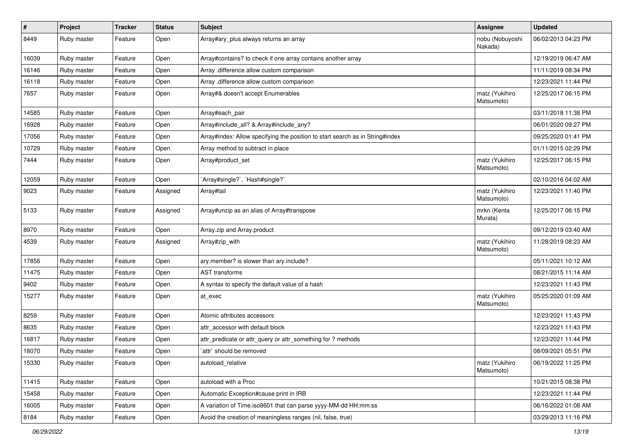| $\vert$ # | Project     | <b>Tracker</b> | <b>Status</b> | <b>Subject</b>                                                                | Assignee                     | <b>Updated</b>      |
|-----------|-------------|----------------|---------------|-------------------------------------------------------------------------------|------------------------------|---------------------|
| 8449      | Ruby master | Feature        | Open          | Array#ary_plus always returns an array                                        | nobu (Nobuyoshi<br>Nakada)   | 06/02/2013 04:23 PM |
| 16039     | Ruby master | Feature        | Open          | Array#contains? to check if one array contains another array                  |                              | 12/19/2019 06:47 AM |
| 16146     | Ruby master | Feature        | Open          | Array .difference allow custom comparison                                     |                              | 11/11/2019 08:34 PM |
| 16118     | Ruby master | Feature        | Open          | Array .difference allow custom comparison                                     |                              | 12/23/2021 11:44 PM |
| 7657      | Ruby master | Feature        | Open          | Array#& doesn't accept Enumerables                                            | matz (Yukihiro<br>Matsumoto) | 12/25/2017 06:15 PM |
| 14585     | Ruby master | Feature        | Open          | Array#each pair                                                               |                              | 03/11/2018 11:38 PM |
| 16928     | Ruby master | Feature        | Open          | Array#include_all? & Array#include_any?                                       |                              | 06/01/2020 09:27 PM |
| 17056     | Ruby master | Feature        | Open          | Array#index: Allow specifying the position to start search as in String#index |                              | 09/25/2020 01:41 PM |
| 10729     | Ruby master | Feature        | Open          | Array method to subtract in place                                             |                              | 01/11/2015 02:29 PM |
| 7444      | Ruby master | Feature        | Open          | Array#product_set                                                             | matz (Yukihiro<br>Matsumoto) | 12/25/2017 06:15 PM |
| 12059     | Ruby master | Feature        | Open          | `Array#single?`, `Hash#single?`                                               |                              | 02/10/2016 04:02 AM |
| 9023      | Ruby master | Feature        | Assigned      | Array#tail                                                                    | matz (Yukihiro<br>Matsumoto) | 12/23/2021 11:40 PM |
| 5133      | Ruby master | Feature        | Assigned      | Array#unzip as an alias of Array#transpose                                    | mrkn (Kenta<br>Murata)       | 12/25/2017 06:15 PM |
| 8970      | Ruby master | Feature        | Open          | Array.zip and Array.product                                                   |                              | 09/12/2019 03:40 AM |
| 4539      | Ruby master | Feature        | Assigned      | Array#zip_with                                                                | matz (Yukihiro<br>Matsumoto) | 11/28/2019 08:23 AM |
| 17856     | Ruby master | Feature        | Open          | ary.member? is slower than ary.include?                                       |                              | 05/11/2021 10:12 AM |
| 11475     | Ruby master | Feature        | Open          | AST transforms                                                                |                              | 08/21/2015 11:14 AM |
| 9402      | Ruby master | Feature        | Open          | A syntax to specify the default value of a hash                               |                              | 12/23/2021 11:43 PM |
| 15277     | Ruby master | Feature        | Open          | at exec                                                                       | matz (Yukihiro<br>Matsumoto) | 05/25/2020 01:09 AM |
| 8259      | Ruby master | Feature        | Open          | Atomic attributes accessors                                                   |                              | 12/23/2021 11:43 PM |
| 8635      | Ruby master | Feature        | Open          | attr accessor with default block                                              |                              | 12/23/2021 11:43 PM |
| 16817     | Ruby master | Feature        | Open          | attr_predicate or attr_query or attr_something for ? methods                  |                              | 12/23/2021 11:44 PM |
| 18070     | Ruby master | Feature        | Open          | attr` should be removed                                                       |                              | 08/09/2021 05:51 PM |
| 15330     | Ruby master | Feature        | Open          | autoload_relative                                                             | matz (Yukihiro<br>Matsumoto) | 06/19/2022 11:25 PM |
| 11415     | Ruby master | Feature        | Open          | autoload with a Proc                                                          |                              | 10/21/2015 08:38 PM |
| 15458     | Ruby master | Feature        | Open          | Automatic Exception#cause print in IRB                                        |                              | 12/23/2021 11:44 PM |
| 16005     | Ruby master | Feature        | Open          | A variation of Time.iso8601 that can parse yyyy-MM-dd HH:mm:ss                |                              | 06/16/2022 01:08 AM |
| 8184      | Ruby master | Feature        | Open          | Avoid the creation of meaningless ranges (nil, false, true)                   |                              | 03/29/2013 11:16 PM |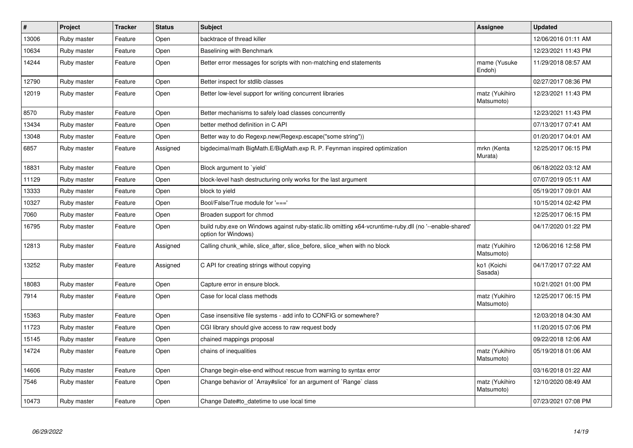| $\pmb{\#}$ | <b>Project</b> | <b>Tracker</b> | <b>Status</b> | <b>Subject</b>                                                                                                                 | Assignee                     | <b>Updated</b>      |
|------------|----------------|----------------|---------------|--------------------------------------------------------------------------------------------------------------------------------|------------------------------|---------------------|
| 13006      | Ruby master    | Feature        | Open          | backtrace of thread killer                                                                                                     |                              | 12/06/2016 01:11 AM |
| 10634      | Ruby master    | Feature        | Open          | Baselining with Benchmark                                                                                                      |                              | 12/23/2021 11:43 PM |
| 14244      | Ruby master    | Feature        | Open          | Better error messages for scripts with non-matching end statements                                                             | mame (Yusuke<br>Endoh)       | 11/29/2018 08:57 AM |
| 12790      | Ruby master    | Feature        | Open          | Better inspect for stdlib classes                                                                                              |                              | 02/27/2017 08:36 PM |
| 12019      | Ruby master    | Feature        | Open          | Better low-level support for writing concurrent libraries                                                                      | matz (Yukihiro<br>Matsumoto) | 12/23/2021 11:43 PM |
| 8570       | Ruby master    | Feature        | Open          | Better mechanisms to safely load classes concurrently                                                                          |                              | 12/23/2021 11:43 PM |
| 13434      | Ruby master    | Feature        | Open          | better method definition in C API                                                                                              |                              | 07/13/2017 07:41 AM |
| 13048      | Ruby master    | Feature        | Open          | Better way to do Regexp.new(Regexp.escape("some string"))                                                                      |                              | 01/20/2017 04:01 AM |
| 6857       | Ruby master    | Feature        | Assigned      | bigdecimal/math BigMath.E/BigMath.exp R. P. Feynman inspired optimization                                                      | mrkn (Kenta<br>Murata)       | 12/25/2017 06:15 PM |
| 18831      | Ruby master    | Feature        | Open          | Block argument to `yield`                                                                                                      |                              | 06/18/2022 03:12 AM |
| 11129      | Ruby master    | Feature        | Open          | block-level hash destructuring only works for the last argument                                                                |                              | 07/07/2019 05:11 AM |
| 13333      | Ruby master    | Feature        | Open          | block to yield                                                                                                                 |                              | 05/19/2017 09:01 AM |
| 10327      | Ruby master    | Feature        | Open          | Bool/False/True module for '==='                                                                                               |                              | 10/15/2014 02:42 PM |
| 7060       | Ruby master    | Feature        | Open          | Broaden support for chmod                                                                                                      |                              | 12/25/2017 06:15 PM |
| 16795      | Ruby master    | Feature        | Open          | build ruby.exe on Windows against ruby-static.lib omitting x64-vcruntime-ruby.dll (no '--enable-shared'<br>option for Windows) |                              | 04/17/2020 01:22 PM |
| 12813      | Ruby master    | Feature        | Assigned      | Calling chunk while, slice after, slice before, slice when with no block                                                       | matz (Yukihiro<br>Matsumoto) | 12/06/2016 12:58 PM |
| 13252      | Ruby master    | Feature        | Assigned      | C API for creating strings without copying                                                                                     | ko1 (Koichi<br>Sasada)       | 04/17/2017 07:22 AM |
| 18083      | Ruby master    | Feature        | Open          | Capture error in ensure block.                                                                                                 |                              | 10/21/2021 01:00 PM |
| 7914       | Ruby master    | Feature        | Open          | Case for local class methods                                                                                                   | matz (Yukihiro<br>Matsumoto) | 12/25/2017 06:15 PM |
| 15363      | Ruby master    | Feature        | Open          | Case insensitive file systems - add info to CONFIG or somewhere?                                                               |                              | 12/03/2018 04:30 AM |
| 11723      | Ruby master    | Feature        | Open          | CGI library should give access to raw request body                                                                             |                              | 11/20/2015 07:06 PM |
| 15145      | Ruby master    | Feature        | Open          | chained mappings proposal                                                                                                      |                              | 09/22/2018 12:06 AM |
| 14724      | Ruby master    | Feature        | Open          | chains of inequalities                                                                                                         | matz (Yukihiro<br>Matsumoto) | 05/19/2018 01:06 AM |
| 14606      | Ruby master    | Feature        | Open          | Change begin-else-end without rescue from warning to syntax error                                                              |                              | 03/16/2018 01:22 AM |
| 7546       | Ruby master    | Feature        | Open          | Change behavior of `Array#slice` for an argument of `Range` class                                                              | matz (Yukihiro<br>Matsumoto) | 12/10/2020 08:49 AM |
| 10473      | Ruby master    | Feature        | Open          | Change Date#to_datetime to use local time                                                                                      |                              | 07/23/2021 07:08 PM |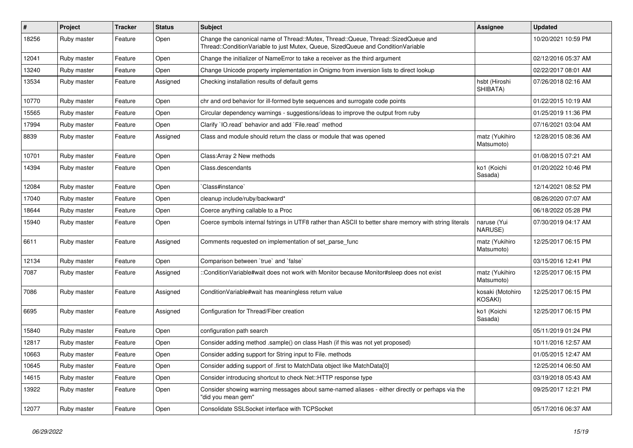| $\vert$ # | Project     | <b>Tracker</b> | <b>Status</b> | <b>Subject</b>                                                                                                                                                        | <b>Assignee</b>              | <b>Updated</b>      |
|-----------|-------------|----------------|---------------|-----------------------------------------------------------------------------------------------------------------------------------------------------------------------|------------------------------|---------------------|
| 18256     | Ruby master | Feature        | Open          | Change the canonical name of Thread::Mutex, Thread::Queue, Thread::SizedQueue and<br>Thread::ConditionVariable to just Mutex, Queue, SizedQueue and ConditionVariable |                              | 10/20/2021 10:59 PM |
| 12041     | Ruby master | Feature        | Open          | Change the initializer of NameError to take a receiver as the third argument                                                                                          |                              | 02/12/2016 05:37 AM |
| 13240     | Ruby master | Feature        | Open          | Change Unicode property implementation in Onigmo from inversion lists to direct lookup                                                                                |                              | 02/22/2017 08:01 AM |
| 13534     | Ruby master | Feature        | Assigned      | Checking installation results of default gems                                                                                                                         | hsbt (Hiroshi<br>SHIBATA)    | 07/26/2018 02:16 AM |
| 10770     | Ruby master | Feature        | Open          | chr and ord behavior for ill-formed byte sequences and surrogate code points                                                                                          |                              | 01/22/2015 10:19 AM |
| 15565     | Ruby master | Feature        | Open          | Circular dependency warnings - suggestions/ideas to improve the output from ruby                                                                                      |                              | 01/25/2019 11:36 PM |
| 17994     | Ruby master | Feature        | Open          | Clarify 'IO.read' behavior and add 'File.read' method                                                                                                                 |                              | 07/16/2021 03:04 AM |
| 8839      | Ruby master | Feature        | Assigned      | Class and module should return the class or module that was opened                                                                                                    | matz (Yukihiro<br>Matsumoto) | 12/28/2015 08:36 AM |
| 10701     | Ruby master | Feature        | Open          | Class: Array 2 New methods                                                                                                                                            |                              | 01/08/2015 07:21 AM |
| 14394     | Ruby master | Feature        | Open          | Class.descendants                                                                                                                                                     | ko1 (Koichi<br>Sasada)       | 01/20/2022 10:46 PM |
| 12084     | Ruby master | Feature        | Open          | Class#instance`                                                                                                                                                       |                              | 12/14/2021 08:52 PM |
| 17040     | Ruby master | Feature        | Open          | cleanup include/ruby/backward*                                                                                                                                        |                              | 08/26/2020 07:07 AM |
| 18644     | Ruby master | Feature        | Open          | Coerce anything callable to a Proc                                                                                                                                    |                              | 06/18/2022 05:28 PM |
| 15940     | Ruby master | Feature        | Open          | Coerce symbols internal fstrings in UTF8 rather than ASCII to better share memory with string literals                                                                | naruse (Yui<br>NARUSE)       | 07/30/2019 04:17 AM |
| 6611      | Ruby master | Feature        | Assigned      | Comments requested on implementation of set parse func                                                                                                                | matz (Yukihiro<br>Matsumoto) | 12/25/2017 06:15 PM |
| 12134     | Ruby master | Feature        | Open          | Comparison between 'true' and 'false'                                                                                                                                 |                              | 03/15/2016 12:41 PM |
| 7087      | Ruby master | Feature        | Assigned      | :ConditionVariable#wait does not work with Monitor because Monitor#sleep does not exist                                                                               | matz (Yukihiro<br>Matsumoto) | 12/25/2017 06:15 PM |
| 7086      | Ruby master | Feature        | Assigned      | ConditionVariable#wait has meaningless return value                                                                                                                   | kosaki (Motohiro<br>KOSAKI)  | 12/25/2017 06:15 PM |
| 6695      | Ruby master | Feature        | Assigned      | Configuration for Thread/Fiber creation                                                                                                                               | ko1 (Koichi<br>Sasada)       | 12/25/2017 06:15 PM |
| 15840     | Ruby master | Feature        | Open          | configuration path search                                                                                                                                             |                              | 05/11/2019 01:24 PM |
| 12817     | Ruby master | Feature        | Open          | Consider adding method .sample() on class Hash (if this was not yet proposed)                                                                                         |                              | 10/11/2016 12:57 AM |
| 10663     | Ruby master | Feature        | Open          | Consider adding support for String input to File. methods                                                                                                             |                              | 01/05/2015 12:47 AM |
| 10645     | Ruby master | Feature        | Open          | Consider adding support of .first to MatchData object like MatchData[0]                                                                                               |                              | 12/25/2014 06:50 AM |
| 14615     | Ruby master | Feature        | Open          | Consider introducing shortcut to check Net::HTTP response type                                                                                                        |                              | 03/19/2018 05:43 AM |
| 13922     | Ruby master | Feature        | Open          | Consider showing warning messages about same-named aliases - either directly or perhaps via the<br>"did you mean gem"                                                 |                              | 09/25/2017 12:21 PM |
| 12077     | Ruby master | Feature        | Open          | Consolidate SSLSocket interface with TCPSocket                                                                                                                        |                              | 05/17/2016 06:37 AM |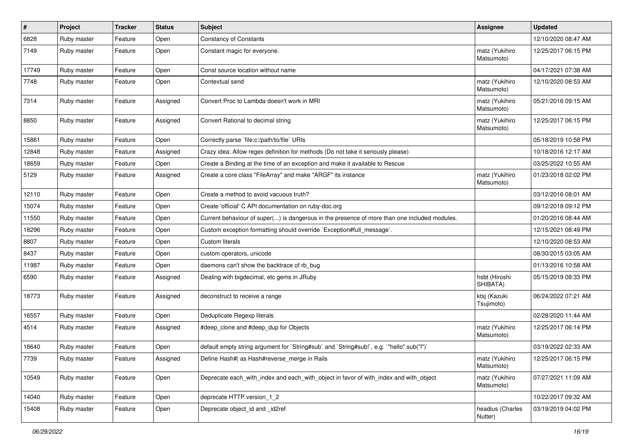| #     | Project     | <b>Tracker</b> | <b>Status</b> | <b>Subject</b>                                                                               | <b>Assignee</b>              | <b>Updated</b>      |
|-------|-------------|----------------|---------------|----------------------------------------------------------------------------------------------|------------------------------|---------------------|
| 6828  | Ruby master | Feature        | Open          | <b>Constancy of Constants</b>                                                                |                              | 12/10/2020 08:47 AM |
| 7149  | Ruby master | Feature        | Open          | Constant magic for everyone.                                                                 | matz (Yukihiro<br>Matsumoto) | 12/25/2017 06:15 PM |
| 17749 | Ruby master | Feature        | Open          | Const source location without name                                                           |                              | 04/17/2021 07:38 AM |
| 7748  | Ruby master | Feature        | Open          | Contextual send                                                                              | matz (Yukihiro<br>Matsumoto) | 12/10/2020 08:53 AM |
| 7314  | Ruby master | Feature        | Assigned      | Convert Proc to Lambda doesn't work in MRI                                                   | matz (Yukihiro<br>Matsumoto) | 05/21/2016 09:15 AM |
| 8850  | Ruby master | Feature        | Assigned      | Convert Rational to decimal string                                                           | matz (Yukihiro<br>Matsumoto) | 12/25/2017 06:15 PM |
| 15861 | Ruby master | Feature        | Open          | Correctly parse `file:c:/path/to/file` URIs                                                  |                              | 05/18/2019 10:58 PM |
| 12848 | Ruby master | Feature        | Assigned      | Crazy idea: Allow regex definition for methods (Do not take it seriously please)             |                              | 10/18/2016 12:17 AM |
| 18659 | Ruby master | Feature        | Open          | Create a Binding at the time of an exception and make it available to Rescue                 |                              | 03/25/2022 10:55 AM |
| 5129  | Ruby master | Feature        | Assigned      | Create a core class "FileArray" and make "ARGF" its instance                                 | matz (Yukihiro<br>Matsumoto) | 01/23/2018 02:02 PM |
| 12110 | Ruby master | Feature        | Open          | Create a method to avoid vacuous truth?                                                      |                              | 03/12/2016 08:01 AM |
| 15074 | Ruby master | Feature        | Open          | Create 'official' C API documentation on ruby-doc.org                                        |                              | 09/12/2018 09:12 PM |
| 11550 | Ruby master | Feature        | Open          | Current behaviour of super() is dangerous in the presence of more than one included modules. |                              | 01/20/2016 08:44 AM |
| 18296 | Ruby master | Feature        | Open          | Custom exception formatting should override `Exception#full_message`.                        |                              | 12/15/2021 08:49 PM |
| 8807  | Ruby master | Feature        | Open          | Custom literals                                                                              |                              | 12/10/2020 08:53 AM |
| 8437  | Ruby master | Feature        | Open          | custom operators, unicode                                                                    |                              | 08/30/2015 03:05 AM |
| 11987 | Ruby master | Feature        | Open          | daemons can't show the backtrace of rb bug                                                   |                              | 01/13/2016 10:58 AM |
| 6590  | Ruby master | Feature        | Assigned      | Dealing with bigdecimal, etc gems in JRuby                                                   | hsbt (Hiroshi<br>SHIBATA)    | 05/15/2019 08:33 PM |
| 18773 | Ruby master | Feature        | Assigned      | deconstruct to receive a range                                                               | ktsj (Kazuki<br>Tsujimoto)   | 06/24/2022 07:21 AM |
| 16557 | Ruby master | Feature        | Open          | Deduplicate Regexp literals                                                                  |                              | 02/28/2020 11:44 AM |
| 4514  | Ruby master | Feature        | Assigned      | #deep_clone and #deep_dup for Objects                                                        | matz (Yukihiro<br>Matsumoto) | 12/25/2017 06:14 PM |
| 18640 | Ruby master | Feature        | Open          | default empty string argument for `String#sub` and `String#sub!`, e.g. `"hello".sub("I")`    |                              | 03/19/2022 02:33 AM |
| 7739  | Ruby master | Feature        | Assigned      | Define Hash#  as Hash#reverse_merge in Rails                                                 | matz (Yukihiro<br>Matsumoto) | 12/25/2017 06:15 PM |
| 10549 | Ruby master | Feature        | Open          | Deprecate each with index and each with object in favor of with index and with object        | matz (Yukihiro<br>Matsumoto) | 07/27/2021 11:09 AM |
| 14040 | Ruby master | Feature        | Open          | deprecate HTTP.version 1 2                                                                   |                              | 10/22/2017 09:32 AM |
| 15408 | Ruby master | Feature        | Open          | Deprecate object id and id2ref                                                               | headius (Charles<br>Nutter)  | 03/19/2019 04:02 PM |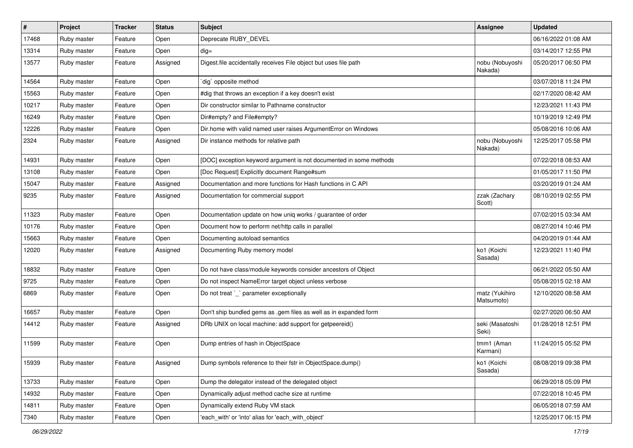| #     | Project     | <b>Tracker</b> | <b>Status</b> | Subject                                                            | Assignee                     | <b>Updated</b>      |
|-------|-------------|----------------|---------------|--------------------------------------------------------------------|------------------------------|---------------------|
| 17468 | Ruby master | Feature        | Open          | Deprecate RUBY_DEVEL                                               |                              | 06/16/2022 01:08 AM |
| 13314 | Ruby master | Feature        | Open          | $dig =$                                                            |                              | 03/14/2017 12:55 PM |
| 13577 | Ruby master | Feature        | Assigned      | Digest file accidentally receives File object but uses file path   | nobu (Nobuyoshi<br>Nakada)   | 05/20/2017 06:50 PM |
| 14564 | Ruby master | Feature        | Open          | dig` opposite method                                               |                              | 03/07/2018 11:24 PM |
| 15563 | Ruby master | Feature        | Open          | #dig that throws an exception if a key doesn't exist               |                              | 02/17/2020 08:42 AM |
| 10217 | Ruby master | Feature        | Open          | Dir constructor similar to Pathname constructor                    |                              | 12/23/2021 11:43 PM |
| 16249 | Ruby master | Feature        | Open          | Dir#empty? and File#empty?                                         |                              | 10/19/2019 12:49 PM |
| 12226 | Ruby master | Feature        | Open          | Dir.home with valid named user raises ArgumentError on Windows     |                              | 05/08/2016 10:06 AM |
| 2324  | Ruby master | Feature        | Assigned      | Dir instance methods for relative path                             | nobu (Nobuyoshi<br>Nakada)   | 12/25/2017 05:58 PM |
| 14931 | Ruby master | Feature        | Open          | [DOC] exception keyword argument is not documented in some methods |                              | 07/22/2018 08:53 AM |
| 13108 | Ruby master | Feature        | Open          | [Doc Request] Explicitly document Range#sum                        |                              | 01/05/2017 11:50 PM |
| 15047 | Ruby master | Feature        | Assigned      | Documentation and more functions for Hash functions in C API       |                              | 03/20/2019 01:24 AM |
| 9235  | Ruby master | Feature        | Assigned      | Documentation for commercial support                               | zzak (Zachary<br>Scott)      | 08/10/2019 02:55 PM |
| 11323 | Ruby master | Feature        | Open          | Documentation update on how uniq works / guarantee of order        |                              | 07/02/2015 03:34 AM |
| 10176 | Ruby master | Feature        | Open          | Document how to perform net/http calls in parallel                 |                              | 08/27/2014 10:46 PM |
| 15663 | Ruby master | Feature        | Open          | Documenting autoload semantics                                     |                              | 04/20/2019 01:44 AM |
| 12020 | Ruby master | Feature        | Assigned      | Documenting Ruby memory model                                      | ko1 (Koichi<br>Sasada)       | 12/23/2021 11:40 PM |
| 18832 | Ruby master | Feature        | Open          | Do not have class/module keywords consider ancestors of Object     |                              | 06/21/2022 05:50 AM |
| 9725  | Ruby master | Feature        | Open          | Do not inspect NameError target object unless verbose              |                              | 05/08/2015 02:18 AM |
| 6869  | Ruby master | Feature        | Open          | Do not treat `_` parameter exceptionally                           | matz (Yukihiro<br>Matsumoto) | 12/10/2020 08:58 AM |
| 16657 | Ruby master | Feature        | Open          | Don't ship bundled gems as .gem files as well as in expanded form  |                              | 02/27/2020 06:50 AM |
| 14412 | Ruby master | Feature        | Assigned      | DRb UNIX on local machine: add support for getpeereid()            | seki (Masatoshi<br>Seki)     | 01/28/2018 12:51 PM |
| 11599 | Ruby master | Feature        | Open          | Dump entries of hash in ObjectSpace                                | tmm1 (Aman<br>Karmani)       | 11/24/2015 05:52 PM |
| 15939 | Ruby master | Feature        | Assigned      | Dump symbols reference to their fstr in ObjectSpace.dump()         | ko1 (Koichi<br>Sasada)       | 08/08/2019 09:38 PM |
| 13733 | Ruby master | Feature        | Open          | Dump the delegator instead of the delegated object                 |                              | 06/29/2018 05:09 PM |
| 14932 | Ruby master | Feature        | Open          | Dynamically adjust method cache size at runtime                    |                              | 07/22/2018 10:45 PM |
| 14811 | Ruby master | Feature        | Open          | Dynamically extend Ruby VM stack                                   |                              | 06/05/2018 07:59 AM |
| 7340  | Ruby master | Feature        | Open          | 'each_with' or 'into' alias for 'each_with_object'                 |                              | 12/25/2017 06:15 PM |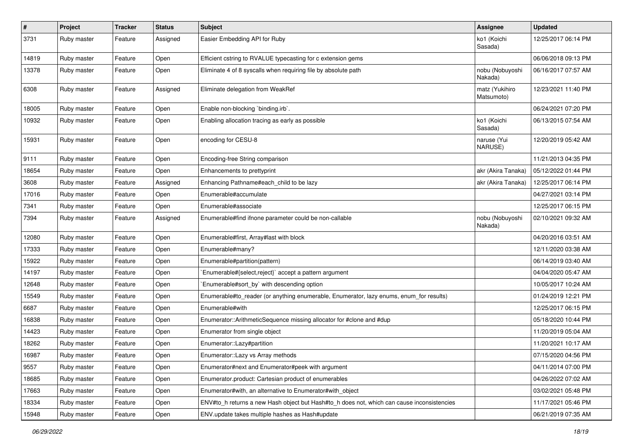| $\vert$ # | Project     | <b>Tracker</b> | <b>Status</b> | <b>Subject</b>                                                                             | Assignee                     | <b>Updated</b>      |
|-----------|-------------|----------------|---------------|--------------------------------------------------------------------------------------------|------------------------------|---------------------|
| 3731      | Ruby master | Feature        | Assigned      | Easier Embedding API for Ruby                                                              | ko1 (Koichi<br>Sasada)       | 12/25/2017 06:14 PM |
| 14819     | Ruby master | Feature        | Open          | Efficient cstring to RVALUE typecasting for c extension gems                               |                              | 06/06/2018 09:13 PM |
| 13378     | Ruby master | Feature        | Open          | Eliminate 4 of 8 syscalls when requiring file by absolute path                             | nobu (Nobuyoshi<br>Nakada)   | 06/16/2017 07:57 AM |
| 6308      | Ruby master | Feature        | Assigned      | Eliminate delegation from WeakRef                                                          | matz (Yukihiro<br>Matsumoto) | 12/23/2021 11:40 PM |
| 18005     | Ruby master | Feature        | Open          | Enable non-blocking `binding.irb`.                                                         |                              | 06/24/2021 07:20 PM |
| 10932     | Ruby master | Feature        | Open          | Enabling allocation tracing as early as possible                                           | ko1 (Koichi<br>Sasada)       | 06/13/2015 07:54 AM |
| 15931     | Ruby master | Feature        | Open          | encoding for CESU-8                                                                        | naruse (Yui<br>NARUSE)       | 12/20/2019 05:42 AM |
| 9111      | Ruby master | Feature        | Open          | Encoding-free String comparison                                                            |                              | 11/21/2013 04:35 PM |
| 18654     | Ruby master | Feature        | Open          | Enhancements to prettyprint                                                                | akr (Akira Tanaka)           | 05/12/2022 01:44 PM |
| 3608      | Ruby master | Feature        | Assigned      | Enhancing Pathname#each child to be lazy                                                   | akr (Akira Tanaka)           | 12/25/2017 06:14 PM |
| 17016     | Ruby master | Feature        | Open          | Enumerable#accumulate                                                                      |                              | 04/27/2021 03:14 PM |
| 7341      | Ruby master | Feature        | Open          | Enumerable#associate                                                                       |                              | 12/25/2017 06:15 PM |
| 7394      | Ruby master | Feature        | Assigned      | Enumerable#find ifnone parameter could be non-callable                                     | nobu (Nobuyoshi<br>Nakada)   | 02/10/2021 09:32 AM |
| 12080     | Ruby master | Feature        | Open          | Enumerable#first, Array#last with block                                                    |                              | 04/20/2016 03:51 AM |
| 17333     | Ruby master | Feature        | Open          | Enumerable#many?                                                                           |                              | 12/11/2020 03:38 AM |
| 15922     | Ruby master | Feature        | Open          | Enumerable#partition(pattern)                                                              |                              | 06/14/2019 03:40 AM |
| 14197     | Ruby master | Feature        | Open          | Enumerable#{select,reject}` accept a pattern argument                                      |                              | 04/04/2020 05:47 AM |
| 12648     | Ruby master | Feature        | Open          | Enumerable#sort_by` with descending option                                                 |                              | 10/05/2017 10:24 AM |
| 15549     | Ruby master | Feature        | Open          | Enumerable#to_reader (or anything enumerable, Enumerator, lazy enums, enum_for results)    |                              | 01/24/2019 12:21 PM |
| 6687      | Ruby master | Feature        | Open          | Enumerable#with                                                                            |                              | 12/25/2017 06:15 PM |
| 16838     | Ruby master | Feature        | Open          | Enumerator::ArithmeticSequence missing allocator for #clone and #dup                       |                              | 05/18/2020 10:44 PM |
| 14423     | Ruby master | Feature        | Open          | Enumerator from single object                                                              |                              | 11/20/2019 05:04 AM |
| 18262     | Ruby master | Feature        | Open          | Enumerator::Lazy#partition                                                                 |                              | 11/20/2021 10:17 AM |
| 16987     | Ruby master | Feature        | Open          | Enumerator::Lazy vs Array methods                                                          |                              | 07/15/2020 04:56 PM |
| 9557      | Ruby master | Feature        | Open          | Enumerator#next and Enumerator#peek with argument                                          |                              | 04/11/2014 07:00 PM |
| 18685     | Ruby master | Feature        | Open          | Enumerator.product: Cartesian product of enumerables                                       |                              | 04/26/2022 07:02 AM |
| 17663     | Ruby master | Feature        | Open          | Enumerator#with, an alternative to Enumerator#with_object                                  |                              | 03/02/2021 05:48 PM |
| 18334     | Ruby master | Feature        | Open          | ENV#to_h returns a new Hash object but Hash#to_h does not, which can cause inconsistencies |                              | 11/17/2021 05:46 PM |
| 15948     | Ruby master | Feature        | Open          | ENV.update takes multiple hashes as Hash#update                                            |                              | 06/21/2019 07:35 AM |